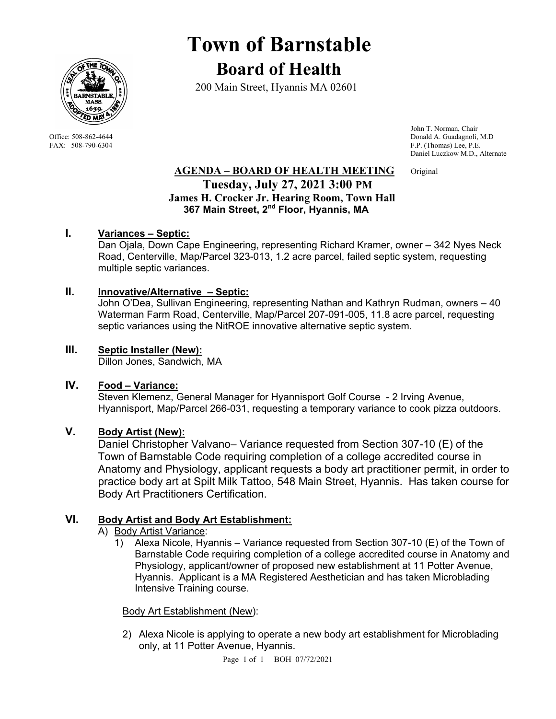

# **Town of Barnstable Board of Health**

200 Main Street, Hyannis MA 02601

 John T. Norman, Chair Office: 508-862-4644 Donald A. Guadagnoli, M.D<br>
FAX: 508-790-6304 F.P. (Thomas) Lee, P.E. F.P. (Thomas) Lee, P.E. Daniel Luczkow M.D., Alternate

## **AGENDA – BOARD OF HEALTH MEETING** Original  **Tuesday, July 27, 2021 3:00 PM James H. Crocker Jr. Hearing Room, Town Hall 367 Main Street, 2nd Floor, Hyannis, MA**

## **I. Variances – Septic:**

Dan Ojala, Down Cape Engineering, representing Richard Kramer, owner – 342 Nyes Neck Road, Centerville, Map/Parcel 323-013, 1.2 acre parcel, failed septic system, requesting multiple septic variances.

#### **II. Innovative/Alternative – Septic:**

John O'Dea, Sullivan Engineering, representing Nathan and Kathryn Rudman, owners – 40 Waterman Farm Road, Centerville, Map/Parcel 207-091-005, 11.8 acre parcel, requesting septic variances using the NitROE innovative alternative septic system.

## **III. Septic Installer (New):**

Dillon Jones, Sandwich, MA

#### **IV. Food – Variance:**

Steven Klemenz, General Manager for Hyannisport Golf Course - 2 Irving Avenue, Hyannisport, Map/Parcel 266-031, requesting a temporary variance to cook pizza outdoors.

#### **V. Body Artist (New):**

Daniel Christopher Valvano– Variance requested from Section 307-10 (E) of the Town of Barnstable Code requiring completion of a college accredited course in Anatomy and Physiology, applicant requests a body art practitioner permit, in order to practice body art at Spilt Milk Tattoo, 548 Main Street, Hyannis. Has taken course for Body Art Practitioners Certification.

#### **VI. Body Artist and Body Art Establishment:**

- A) Body Artist Variance:
	- 1) Alexa Nicole, Hyannis Variance requested from Section 307-10 (E) of the Town of Barnstable Code requiring completion of a college accredited course in Anatomy and Physiology, applicant/owner of proposed new establishment at 11 Potter Avenue, Hyannis. Applicant is a MA Registered Aesthetician and has taken Microblading Intensive Training course.

#### Body Art Establishment (New):

2) Alexa Nicole is applying to operate a new body art establishment for Microblading only, at 11 Potter Avenue, Hyannis.